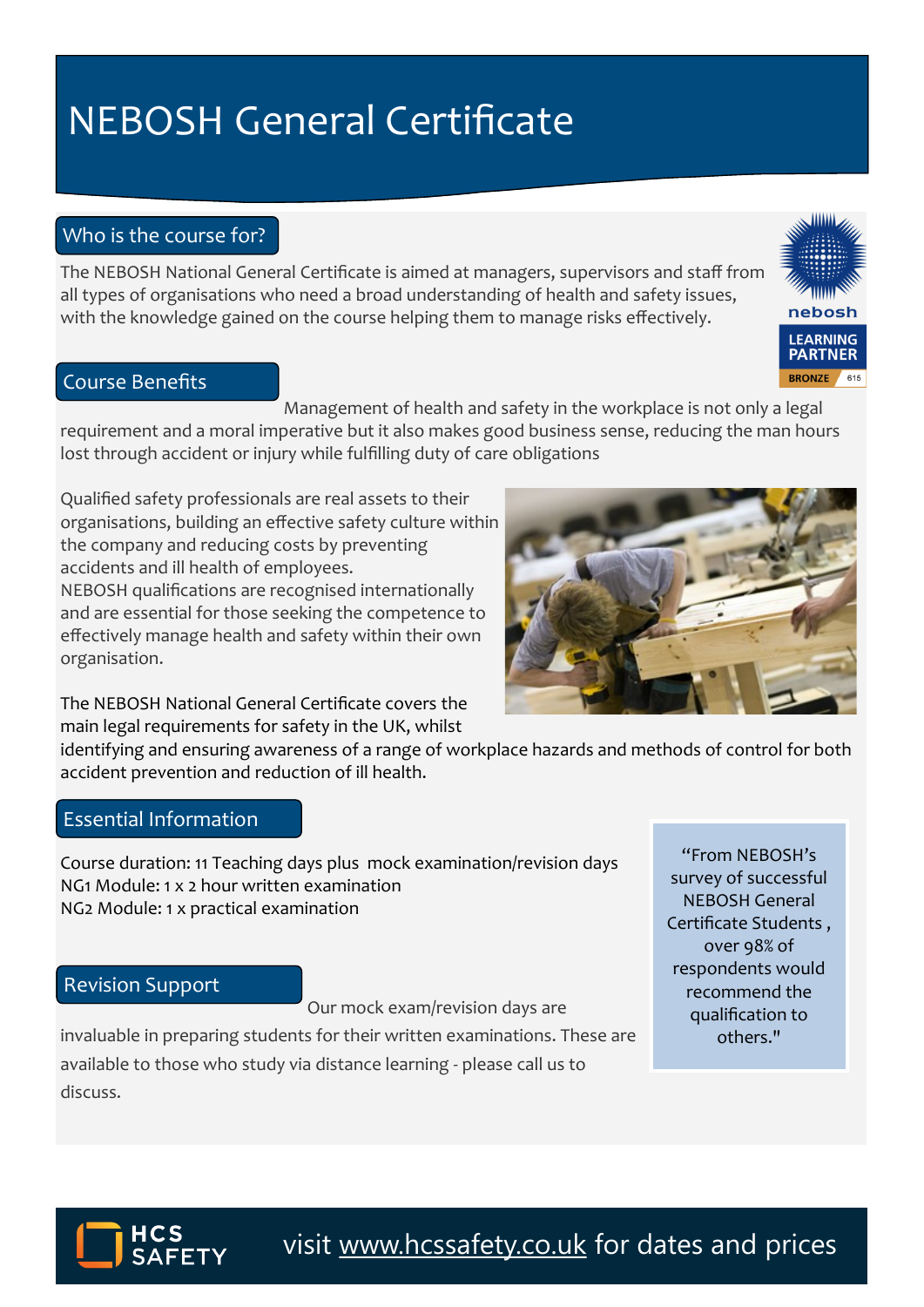## **NEBOSH General Certificate**

### Who is the course for?

The NEBOSH National General Certificate is aimed at managers, supervisors and staff from all types of organisations who need a broad understanding of health and safety issues, with the knowledge gained on the course helping them to manage risks effectively.

#### Course Benefits

organisation.

Management of health and safety in the workplace is not only a legal requirement and a moral imperative but it also makes good business sense, reducing the man hours lost through accident or injury while fulfilling duty of care obligations

Qualified safety professionals are real assets to their organisations, building an effective safety culture within the company and reducing costs by preventing accidents and ill health of employees. NEBOSH qualifications are recognised internationally and are essential for those seeking the competence to effectively manage health and safety within their own

The NEBOSH National General Certificate covers the main legal requirements for safety in the UK, whilst

identifying and ensuring awareness of a range of workplace hazards and methods of control for both accident prevention and reduction of ill health.

#### Essential Information

Course duration: 11 Teaching days plus mock examination/revision days NG1 Module: 1 x 2 hour written examination NG2 Module: 1 x practical examination

#### Revision Support

Our mock exam/revision days are

invaluable in preparing students for their written examinations. These are available to those who study via distance learning - please call us to discuss.

"From NEBOSH's survey of successful NEBOSH General Certificate Students , over 98% of respondents would recommend the qualification to others."



visit [www.hcssafety.co.uk](http://www.hcssafety.co.uk/training) for dates and prices